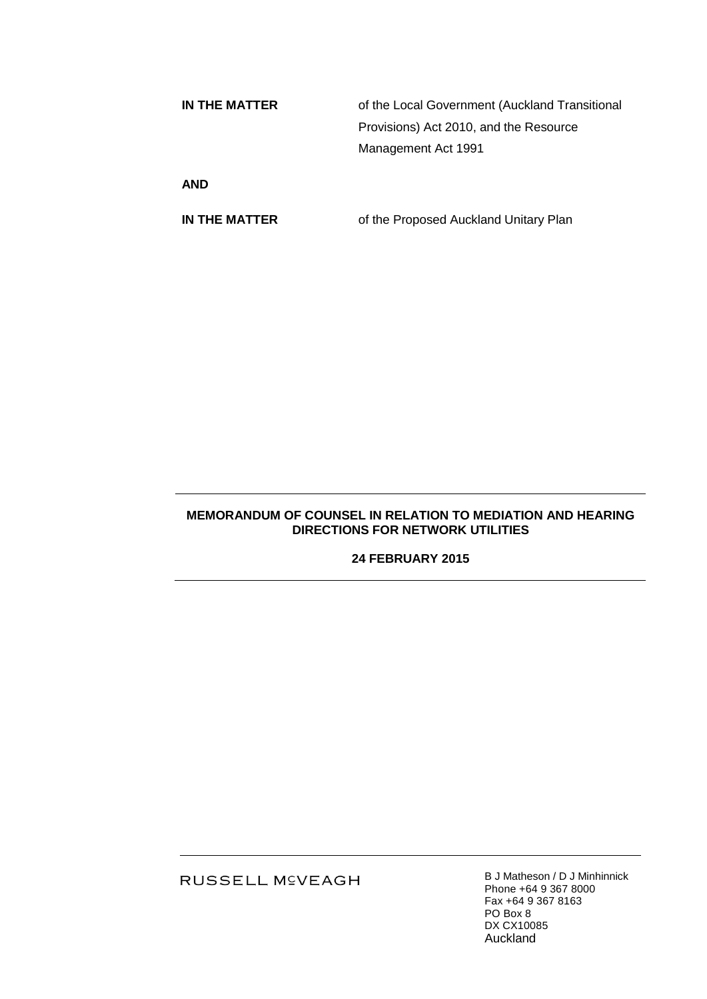**IN THE MATTER** of the Local Government (Auckland Transitional Provisions) Act 2010, and the Resource Management Act 1991

**AND**

**IN THE MATTER** of the Proposed Auckland Unitary Plan

## **MEMORANDUM OF COUNSEL IN RELATION TO MEDIATION AND HEARING DIRECTIONS FOR NETWORK UTILITIES**

**24 FEBRUARY 2015**

RUSSELL M<sup>C</sup>VEAGH

B J Matheson / D J Minhinnick Phone +64 9 367 8000 Fax +64 9 367 8163 PO Box 8 DX CX10085 Auckland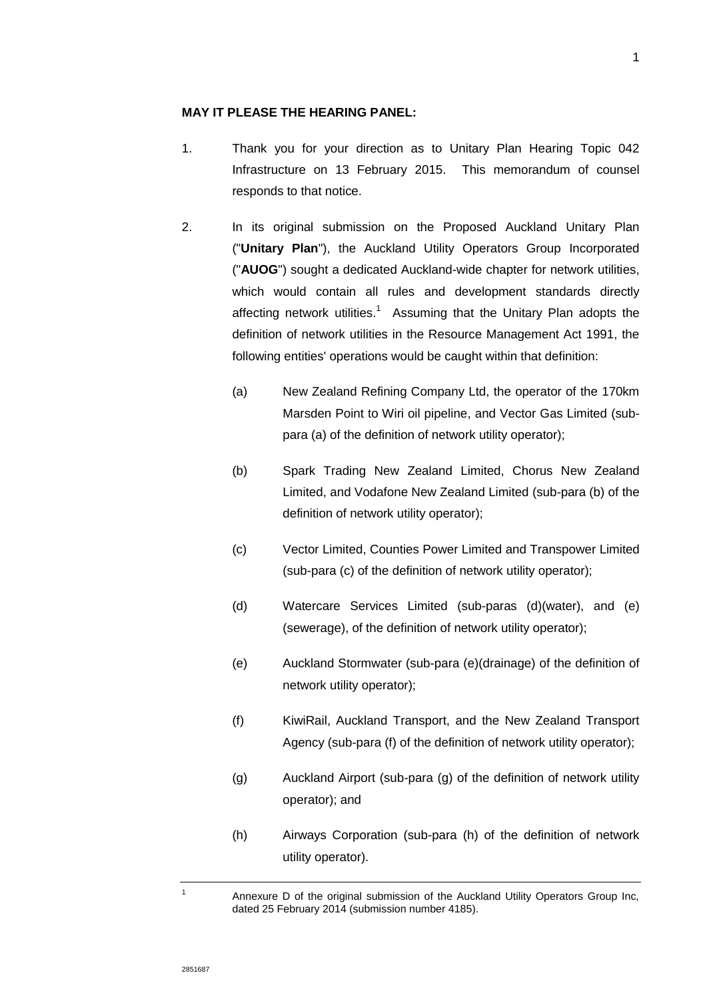## **MAY IT PLEASE THE HEARING PANEL:**

- 1. Thank you for your direction as to Unitary Plan Hearing Topic 042 Infrastructure on 13 February 2015. This memorandum of counsel responds to that notice.
- 2. In its original submission on the Proposed Auckland Unitary Plan ("**Unitary Plan**"), the Auckland Utility Operators Group Incorporated ("**AUOG**") sought a dedicated Auckland-wide chapter for network utilities, which would contain all rules and development standards directly affecting network utilities.<sup>1</sup> Assuming that the Unitary Plan adopts the definition of network utilities in the Resource Management Act 1991, the following entities' operations would be caught within that definition:
	- (a) New Zealand Refining Company Ltd, the operator of the 170km Marsden Point to Wiri oil pipeline, and Vector Gas Limited (subpara (a) of the definition of network utility operator);
	- (b) Spark Trading New Zealand Limited, Chorus New Zealand Limited, and Vodafone New Zealand Limited (sub-para (b) of the definition of network utility operator);
	- (c) Vector Limited, Counties Power Limited and Transpower Limited (sub-para (c) of the definition of network utility operator);
	- (d) Watercare Services Limited (sub-paras (d)(water), and (e) (sewerage), of the definition of network utility operator);
	- (e) Auckland Stormwater (sub-para (e)(drainage) of the definition of network utility operator);
	- (f) KiwiRail, Auckland Transport, and the New Zealand Transport Agency (sub-para (f) of the definition of network utility operator);
	- (g) Auckland Airport (sub-para (g) of the definition of network utility operator); and
	- (h) Airways Corporation (sub-para (h) of the definition of network utility operator).

1

Annexure D of the original submission of the Auckland Utility Operators Group Inc, dated 25 February 2014 (submission number 4185).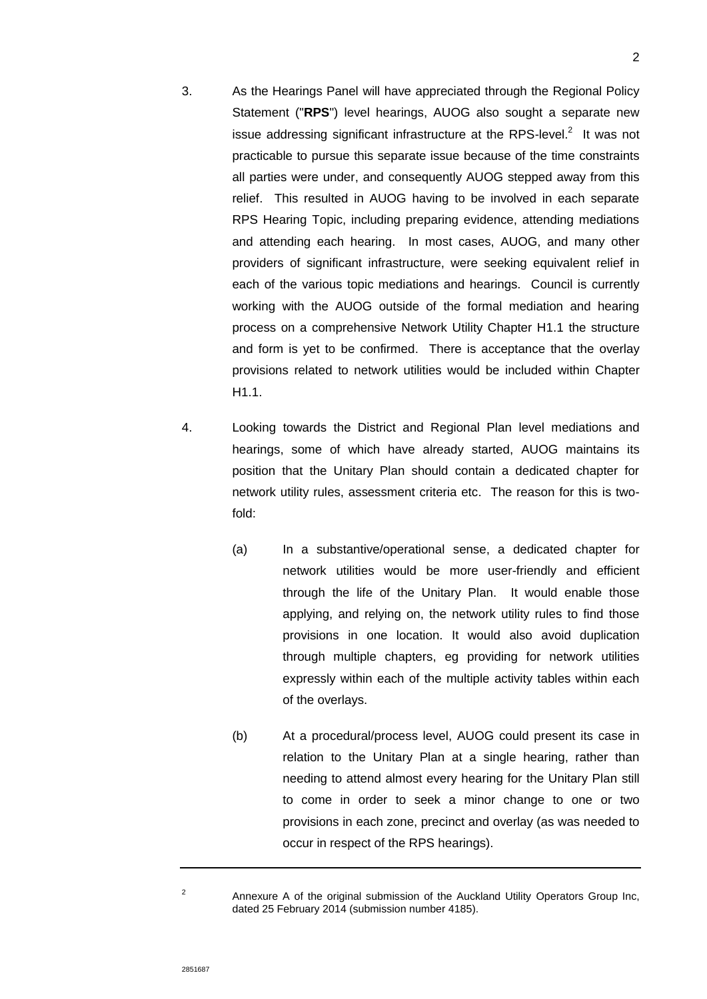- 3. As the Hearings Panel will have appreciated through the Regional Policy Statement ("**RPS**") level hearings, AUOG also sought a separate new issue addressing significant infrastructure at the RPS-level. $2$  It was not practicable to pursue this separate issue because of the time constraints all parties were under, and consequently AUOG stepped away from this relief. This resulted in AUOG having to be involved in each separate RPS Hearing Topic, including preparing evidence, attending mediations and attending each hearing. In most cases, AUOG, and many other providers of significant infrastructure, were seeking equivalent relief in each of the various topic mediations and hearings. Council is currently working with the AUOG outside of the formal mediation and hearing process on a comprehensive Network Utility Chapter H1.1 the structure and form is yet to be confirmed. There is acceptance that the overlay provisions related to network utilities would be included within Chapter H1.1.
- <span id="page-2-0"></span>4. Looking towards the District and Regional Plan level mediations and hearings, some of which have already started, AUOG maintains its position that the Unitary Plan should contain a dedicated chapter for network utility rules, assessment criteria etc. The reason for this is twofold:
	- (a) In a substantive/operational sense, a dedicated chapter for network utilities would be more user-friendly and efficient through the life of the Unitary Plan. It would enable those applying, and relying on, the network utility rules to find those provisions in one location. It would also avoid duplication through multiple chapters, eg providing for network utilities expressly within each of the multiple activity tables within each of the overlays.
	- (b) At a procedural/process level, AUOG could present its case in relation to the Unitary Plan at a single hearing, rather than needing to attend almost every hearing for the Unitary Plan still to come in order to seek a minor change to one or two provisions in each zone, precinct and overlay (as was needed to occur in respect of the RPS hearings).

2

Annexure A of the original submission of the Auckland Utility Operators Group Inc, dated 25 February 2014 (submission number 4185).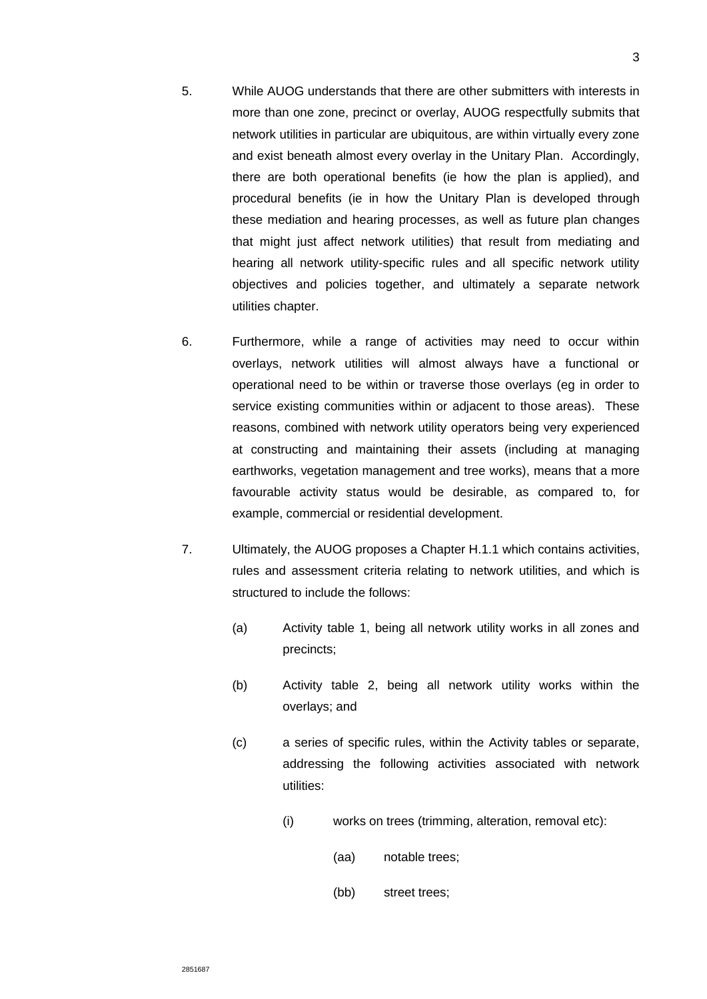- 5. While AUOG understands that there are other submitters with interests in more than one zone, precinct or overlay, AUOG respectfully submits that network utilities in particular are ubiquitous, are within virtually every zone and exist beneath almost every overlay in the Unitary Plan. Accordingly, there are both operational benefits (ie how the plan is applied), and procedural benefits (ie in how the Unitary Plan is developed through these mediation and hearing processes, as well as future plan changes that might just affect network utilities) that result from mediating and hearing all network utility-specific rules and all specific network utility objectives and policies together, and ultimately a separate network utilities chapter.
- 6. Furthermore, while a range of activities may need to occur within overlays, network utilities will almost always have a functional or operational need to be within or traverse those overlays (eg in order to service existing communities within or adjacent to those areas). These reasons, combined with network utility operators being very experienced at constructing and maintaining their assets (including at managing earthworks, vegetation management and tree works), means that a more favourable activity status would be desirable, as compared to, for example, commercial or residential development.
- 7. Ultimately, the AUOG proposes a Chapter H.1.1 which contains activities, rules and assessment criteria relating to network utilities, and which is structured to include the follows:
	- (a) Activity table 1, being all network utility works in all zones and precincts;
	- (b) Activity table 2, being all network utility works within the overlays; and
	- (c) a series of specific rules, within the Activity tables or separate, addressing the following activities associated with network utilities:
		- (i) works on trees (trimming, alteration, removal etc):
			- (aa) notable trees;
			- (bb) street trees;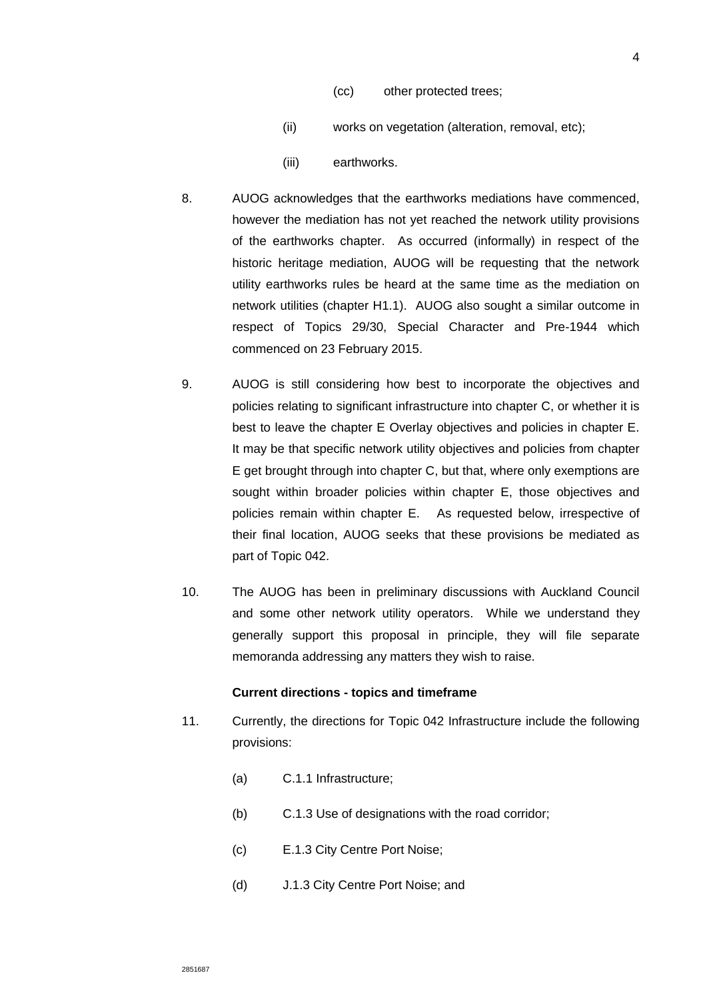- (cc) other protected trees;
- (ii) works on vegetation (alteration, removal, etc);
- (iii) earthworks.
- 8. AUOG acknowledges that the earthworks mediations have commenced, however the mediation has not yet reached the network utility provisions of the earthworks chapter. As occurred (informally) in respect of the historic heritage mediation, AUOG will be requesting that the network utility earthworks rules be heard at the same time as the mediation on network utilities (chapter H1.1). AUOG also sought a similar outcome in respect of Topics 29/30, Special Character and Pre-1944 which commenced on 23 February 2015.
- 9. AUOG is still considering how best to incorporate the objectives and policies relating to significant infrastructure into chapter C, or whether it is best to leave the chapter E Overlay objectives and policies in chapter E. It may be that specific network utility objectives and policies from chapter E get brought through into chapter C, but that, where only exemptions are sought within broader policies within chapter E, those objectives and policies remain within chapter E. As requested below, irrespective of their final location, AUOG seeks that these provisions be mediated as part of Topic 042.
- 10. The AUOG has been in preliminary discussions with Auckland Council and some other network utility operators. While we understand they generally support this proposal in principle, they will file separate memoranda addressing any matters they wish to raise.

#### **Current directions - topics and timeframe**

- 11. Currently, the directions for Topic 042 Infrastructure include the following provisions:
	- (a) C.1.1 Infrastructure;
	- (b) C.1.3 Use of designations with the road corridor;
	- (c) E.1.3 City Centre Port Noise;
	- (d) J.1.3 City Centre Port Noise; and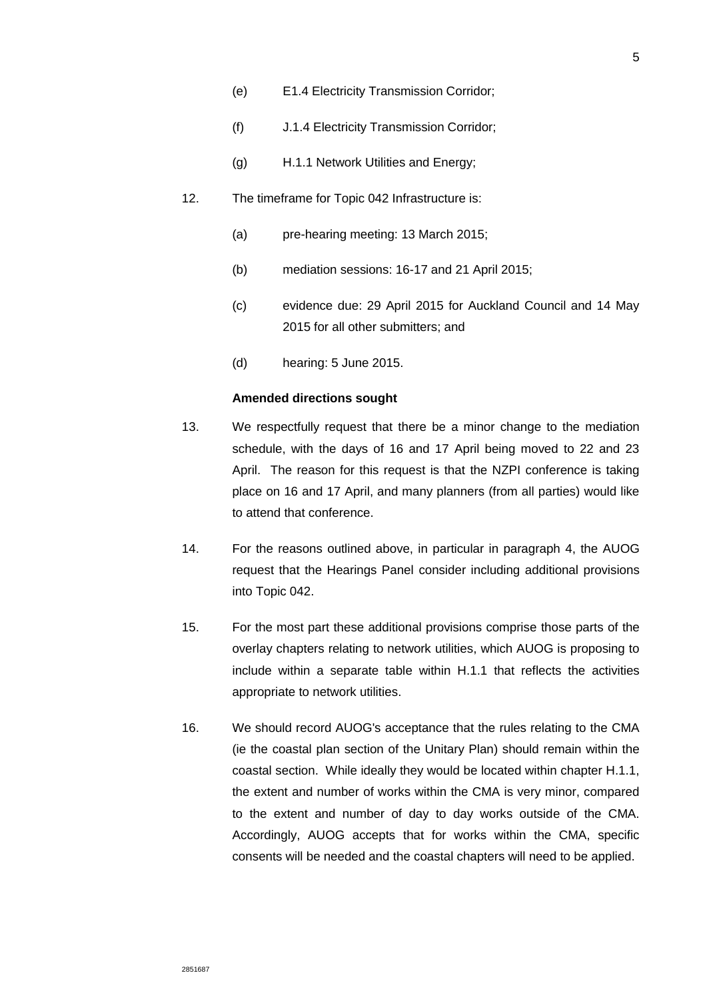- (e) E1.4 Electricity Transmission Corridor;
- (f) J.1.4 Electricity Transmission Corridor;
- (g) H.1.1 Network Utilities and Energy;
- 12. The timeframe for Topic 042 Infrastructure is:
	- (a) pre-hearing meeting: 13 March 2015;
	- (b) mediation sessions: 16-17 and 21 April 2015;
	- (c) evidence due: 29 April 2015 for Auckland Council and 14 May 2015 for all other submitters; and
	- (d) hearing: 5 June 2015.

### **Amended directions sought**

- 13. We respectfully request that there be a minor change to the mediation schedule, with the days of 16 and 17 April being moved to 22 and 23 April. The reason for this request is that the NZPI conference is taking place on 16 and 17 April, and many planners (from all parties) would like to attend that conference.
- 14. For the reasons outlined above, in particular in paragraph [4,](#page-2-0) the AUOG request that the Hearings Panel consider including additional provisions into Topic 042.
- 15. For the most part these additional provisions comprise those parts of the overlay chapters relating to network utilities, which AUOG is proposing to include within a separate table within H.1.1 that reflects the activities appropriate to network utilities.
- 16. We should record AUOG's acceptance that the rules relating to the CMA (ie the coastal plan section of the Unitary Plan) should remain within the coastal section. While ideally they would be located within chapter H.1.1, the extent and number of works within the CMA is very minor, compared to the extent and number of day to day works outside of the CMA. Accordingly, AUOG accepts that for works within the CMA, specific consents will be needed and the coastal chapters will need to be applied.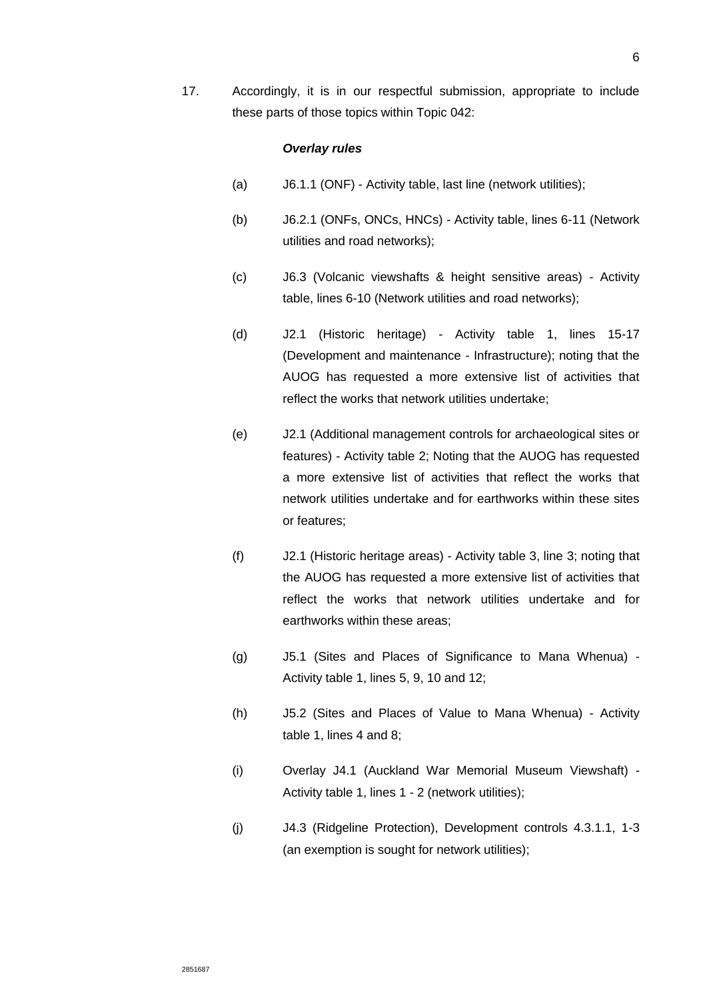17. Accordingly, it is in our respectful submission, appropriate to include these parts of those topics within Topic 042:

# *Overlay rules*

- (a) J6.1.1 (ONF) Activity table, last line (network utilities);
- (b) J6.2.1 (ONFs, ONCs, HNCs) Activity table, lines 6-11 (Network utilities and road networks);
- (c) J6.3 (Volcanic viewshafts & height sensitive areas) Activity table, lines 6-10 (Network utilities and road networks);
- (d) J2.1 (Historic heritage) Activity table 1, lines 15-17 (Development and maintenance - Infrastructure); noting that the AUOG has requested a more extensive list of activities that reflect the works that network utilities undertake;
- (e) J2.1 (Additional management controls for archaeological sites or features) - Activity table 2; Noting that the AUOG has requested a more extensive list of activities that reflect the works that network utilities undertake and for earthworks within these sites or features;
- (f) J2.1 (Historic heritage areas) Activity table 3, line 3; noting that the AUOG has requested a more extensive list of activities that reflect the works that network utilities undertake and for earthworks within these areas;
- (g) J5.1 (Sites and Places of Significance to Mana Whenua) Activity table 1, lines 5, 9, 10 and 12;
- (h) J5.2 (Sites and Places of Value to Mana Whenua) Activity table 1, lines 4 and 8;
- (i) Overlay J4.1 (Auckland War Memorial Museum Viewshaft) Activity table 1, lines 1 - 2 (network utilities);
- (j) J4.3 (Ridgeline Protection), Development controls 4.3.1.1, 1-3 (an exemption is sought for network utilities);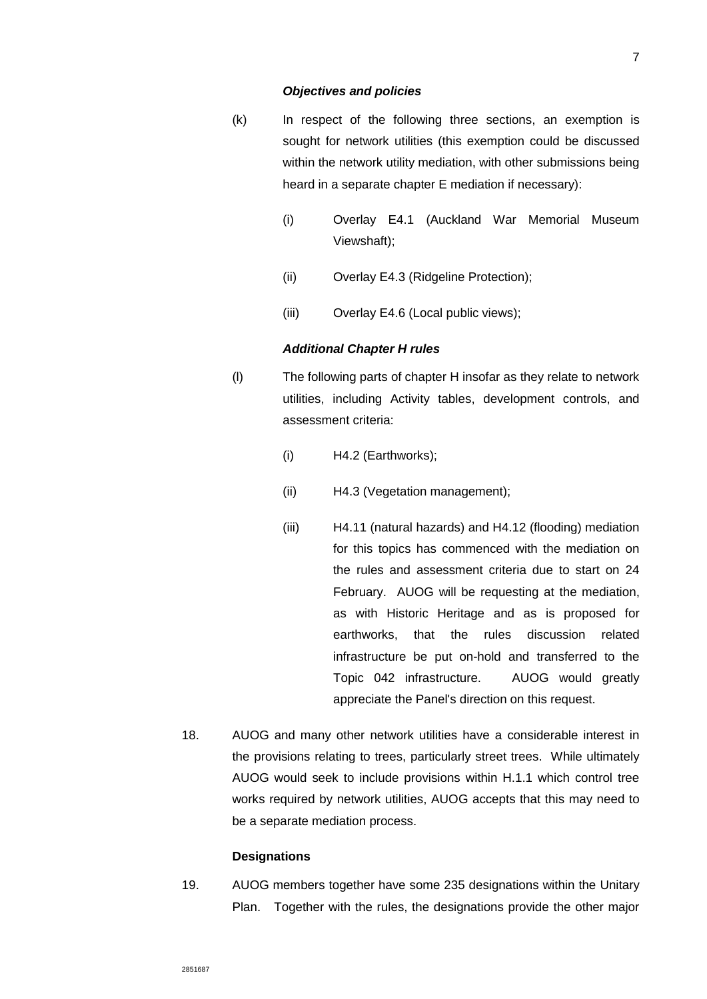#### *Objectives and policies*

- (k) In respect of the following three sections, an exemption is sought for network utilities (this exemption could be discussed within the network utility mediation, with other submissions being heard in a separate chapter E mediation if necessary):
	- (i) Overlay E4.1 (Auckland War Memorial Museum Viewshaft);
	- (ii) Overlay E4.3 (Ridgeline Protection);
	- (iii) Overlay E4.6 (Local public views);

#### *Additional Chapter H rules*

- (l) The following parts of chapter H insofar as they relate to network utilities, including Activity tables, development controls, and assessment criteria:
	- (i) H4.2 (Earthworks);
	- (ii) H4.3 (Vegetation management);
	- (iii) H4.11 (natural hazards) and H4.12 (flooding) mediation for this topics has commenced with the mediation on the rules and assessment criteria due to start on 24 February. AUOG will be requesting at the mediation, as with Historic Heritage and as is proposed for earthworks, that the rules discussion related infrastructure be put on-hold and transferred to the Topic 042 infrastructure. AUOG would greatly appreciate the Panel's direction on this request.
- 18. AUOG and many other network utilities have a considerable interest in the provisions relating to trees, particularly street trees. While ultimately AUOG would seek to include provisions within H.1.1 which control tree works required by network utilities, AUOG accepts that this may need to be a separate mediation process.

### **Designations**

19. AUOG members together have some 235 designations within the Unitary Plan. Together with the rules, the designations provide the other major